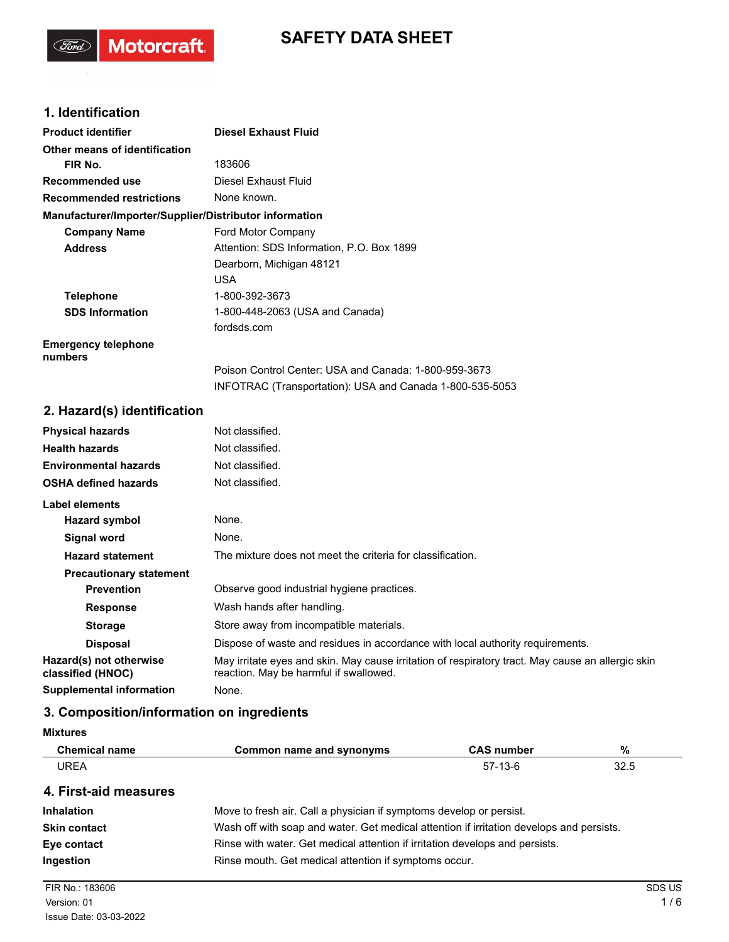## **SAFETY DATA SHEET**

## **1. Identification**

(Ford)

Motorcraft.

| <b>Product identifier</b>                              | <b>Diesel Exhaust Fluid</b>                              |
|--------------------------------------------------------|----------------------------------------------------------|
| Other means of identification                          |                                                          |
| FIR No.                                                | 183606                                                   |
| Recommended use                                        | Diesel Exhaust Fluid                                     |
| <b>Recommended restrictions</b>                        | None known.                                              |
| Manufacturer/Importer/Supplier/Distributor information |                                                          |
| <b>Company Name</b>                                    | Ford Motor Company                                       |
| <b>Address</b>                                         | Attention: SDS Information, P.O. Box 1899                |
|                                                        | Dearborn, Michigan 48121                                 |
|                                                        | USA.                                                     |
| <b>Telephone</b>                                       | 1-800-392-3673                                           |
| <b>SDS Information</b>                                 | 1-800-448-2063 (USA and Canada)                          |
|                                                        | fordsds.com                                              |
| <b>Emergency telephone</b><br>numbers                  |                                                          |
|                                                        | Poison Control Center: USA and Canada: 1-800-959-3673    |
|                                                        | INFOTRAC (Transportation): USA and Canada 1-800-535-5053 |

## **2. Hazard(s) identification**

| <b>Physical hazards</b>                      | Not classified.                                                                                                                             |
|----------------------------------------------|---------------------------------------------------------------------------------------------------------------------------------------------|
| <b>Health hazards</b>                        | Not classified.                                                                                                                             |
| <b>Environmental hazards</b>                 | Not classified.                                                                                                                             |
| <b>OSHA defined hazards</b>                  | Not classified.                                                                                                                             |
| Label elements                               |                                                                                                                                             |
| <b>Hazard symbol</b>                         | None.                                                                                                                                       |
| Signal word                                  | None.                                                                                                                                       |
| <b>Hazard statement</b>                      | The mixture does not meet the criteria for classification.                                                                                  |
| <b>Precautionary statement</b>               |                                                                                                                                             |
| <b>Prevention</b>                            | Observe good industrial hygiene practices.                                                                                                  |
| <b>Response</b>                              | Wash hands after handling.                                                                                                                  |
| <b>Storage</b>                               | Store away from incompatible materials.                                                                                                     |
| <b>Disposal</b>                              | Dispose of waste and residues in accordance with local authority requirements.                                                              |
| Hazard(s) not otherwise<br>classified (HNOC) | May irritate eyes and skin. May cause irritation of respiratory tract. May cause an allergic skin<br>reaction. May be harmful if swallowed. |
| Supplemental information                     | None.                                                                                                                                       |

## **3. Composition/information on ingredients**

| <b>Mixtures</b> |  |
|-----------------|--|
|-----------------|--|

| <b>Chemical name</b> | Common name and synonyms | <b>CAS number</b> | %    |
|----------------------|--------------------------|-------------------|------|
| <b>UREA</b>          |                          | $57-13-6$         | 32.5 |
|                      |                          |                   |      |

#### **4. First-aid measures**

| <b>Inhalation</b>   | Move to fresh air. Call a physician if symptoms develop or persist.                      |
|---------------------|------------------------------------------------------------------------------------------|
| <b>Skin contact</b> | Wash off with soap and water. Get medical attention if irritation develops and persists. |
| Eye contact         | Rinse with water. Get medical attention if irritation develops and persists.             |
| Ingestion           | Rinse mouth. Get medical attention if symptoms occur.                                    |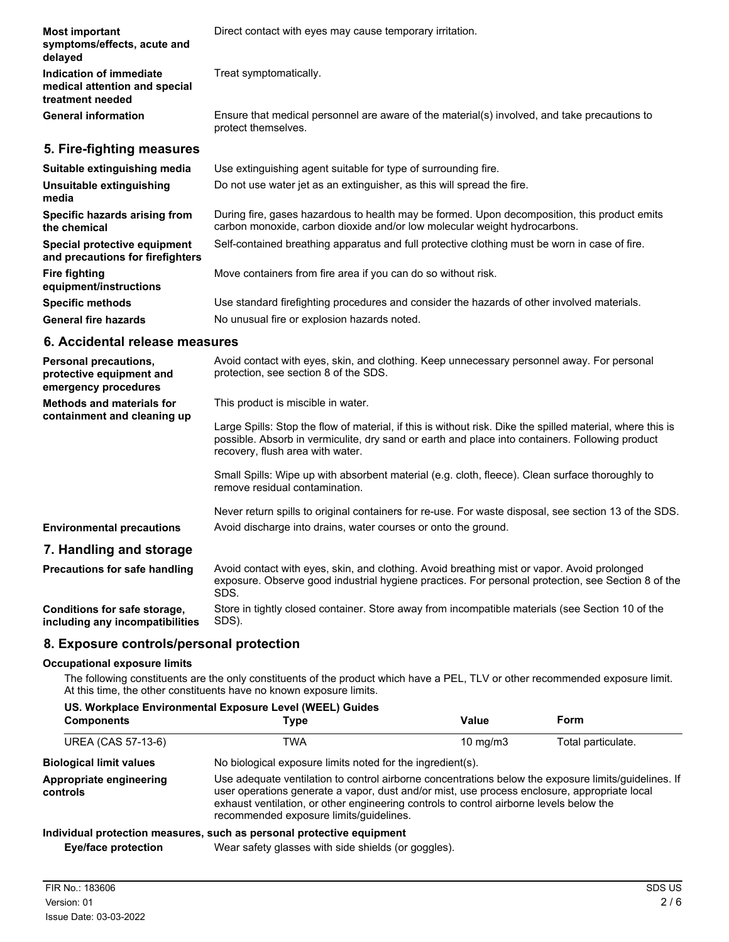| <b>Most important</b><br>symptoms/effects, acute and<br>delayed              | Direct contact with eyes may cause temporary irritation.                                                                                                                  |
|------------------------------------------------------------------------------|---------------------------------------------------------------------------------------------------------------------------------------------------------------------------|
| Indication of immediate<br>medical attention and special<br>treatment needed | Treat symptomatically.                                                                                                                                                    |
| <b>General information</b>                                                   | Ensure that medical personnel are aware of the material(s) involved, and take precautions to<br>protect themselves.                                                       |
| 5. Fire-fighting measures                                                    |                                                                                                                                                                           |
| Suitable extinguishing media                                                 | Use extinguishing agent suitable for type of surrounding fire.                                                                                                            |
| Unsuitable extinguishing<br>media                                            | Do not use water jet as an extinguisher, as this will spread the fire.                                                                                                    |
| Specific hazards arising from<br>the chemical                                | During fire, gases hazardous to health may be formed. Upon decomposition, this product emits<br>carbon monoxide, carbon dioxide and/or low molecular weight hydrocarbons. |
| Special protective equipment<br>and precautions for firefighters             | Self-contained breathing apparatus and full protective clothing must be worn in case of fire.                                                                             |
| <b>Fire fighting</b><br>equipment/instructions                               | Move containers from fire area if you can do so without risk.                                                                                                             |
| <b>Specific methods</b>                                                      | Use standard firefighting procedures and consider the hazards of other involved materials.                                                                                |
| <b>General fire hazards</b>                                                  | No unusual fire or explosion hazards noted.                                                                                                                               |

## **6. Accidental release measures**

| <b>Personal precautions,</b><br>protective equipment and<br>emergency procedures | Avoid contact with eyes, skin, and clothing. Keep unnecessary personnel away. For personal<br>protection, see section 8 of the SDS.                                                                                                               |
|----------------------------------------------------------------------------------|---------------------------------------------------------------------------------------------------------------------------------------------------------------------------------------------------------------------------------------------------|
| <b>Methods and materials for</b>                                                 | This product is miscible in water.                                                                                                                                                                                                                |
| containment and cleaning up                                                      | Large Spills: Stop the flow of material, if this is without risk. Dike the spilled material, where this is<br>possible. Absorb in vermiculite, dry sand or earth and place into containers. Following product<br>recovery, flush area with water. |
|                                                                                  | Small Spills: Wipe up with absorbent material (e.g. cloth, fleece). Clean surface thoroughly to<br>remove residual contamination.                                                                                                                 |
| <b>Environmental precautions</b>                                                 | Never return spills to original containers for re-use. For waste disposal, see section 13 of the SDS.<br>Avoid discharge into drains, water courses or onto the ground.                                                                           |
| 7. Handling and storage                                                          |                                                                                                                                                                                                                                                   |
| <b>Precautions for safe handling</b>                                             | Avoid contact with eyes, skin, and clothing. Avoid breathing mist or vapor. Avoid prolonged<br>exposure. Observe good industrial hygiene practices. For personal protection, see Section 8 of the<br>SDS.                                         |
| Conditions for safe storage,                                                     | Store in tightly closed container. Store away from incompatible materials (see Section 10 of the                                                                                                                                                  |

**Conditions for safe storage, including any incompatibilities**

#### **8. Exposure controls/personal protection**

#### **Occupational exposure limits**

The following constituents are the only constituents of the product which have a PEL, TLV or other recommended exposure limit. At this time, the other constituents have no known exposure limits.

|  |  | US. Workplace Environmental Exposure Level (WEEL) Guides |  |  |  |
|--|--|----------------------------------------------------------|--|--|--|
|--|--|----------------------------------------------------------|--|--|--|

SDS).

| <b>Components</b>                   | Type                                                                                                                                                                                                                                                                                                                                       | Value             | Form               |
|-------------------------------------|--------------------------------------------------------------------------------------------------------------------------------------------------------------------------------------------------------------------------------------------------------------------------------------------------------------------------------------------|-------------------|--------------------|
| UREA (CAS 57-13-6)                  | TWA                                                                                                                                                                                                                                                                                                                                        | $10 \text{ mg/m}$ | Total particulate. |
| <b>Biological limit values</b>      | No biological exposure limits noted for the ingredient(s).                                                                                                                                                                                                                                                                                 |                   |                    |
| Appropriate engineering<br>controls | Use adequate ventilation to control airborne concentrations below the exposure limits/guidelines. If<br>user operations generate a vapor, dust and/or mist, use process enclosure, appropriate local<br>exhaust ventilation, or other engineering controls to control airborne levels below the<br>recommended exposure limits/quidelines. |                   |                    |
|                                     | Individual protection measures, such as personal protective equipment                                                                                                                                                                                                                                                                      |                   |                    |
| Eye/face protection                 | Wear safety glasses with side shields (or goggles).                                                                                                                                                                                                                                                                                        |                   |                    |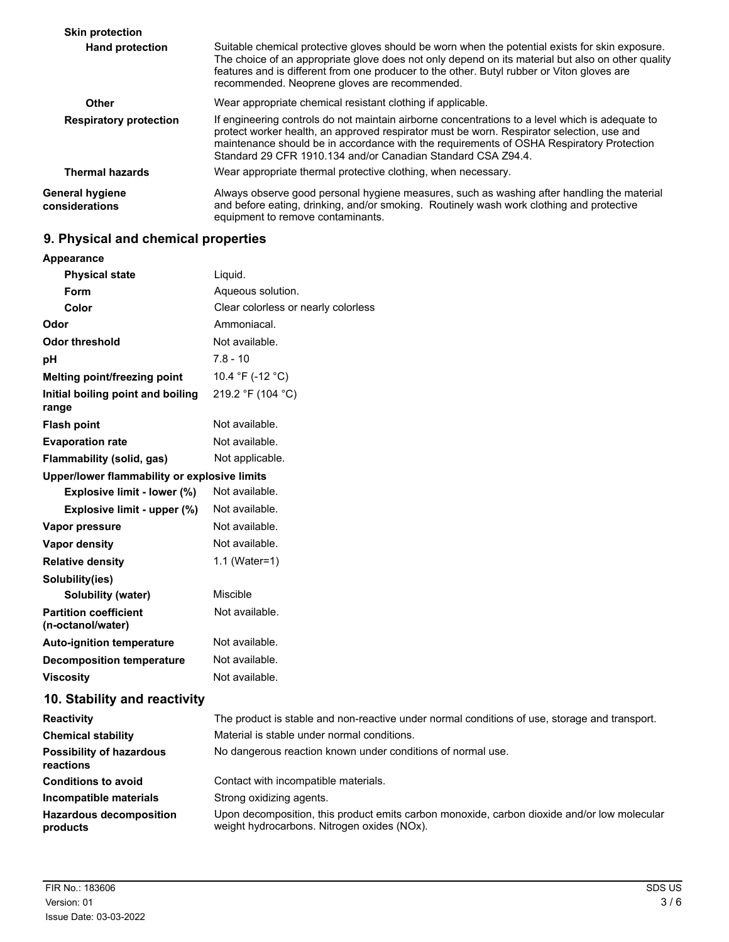| <b>Skin protection</b>                   |                                                                                                                                                                                                                                                                                                                                                          |
|------------------------------------------|----------------------------------------------------------------------------------------------------------------------------------------------------------------------------------------------------------------------------------------------------------------------------------------------------------------------------------------------------------|
| <b>Hand protection</b>                   | Suitable chemical protective gloves should be worn when the potential exists for skin exposure.<br>The choice of an appropriate glove does not only depend on its material but also on other quality<br>features and is different from one producer to the other. Butyl rubber or Viton gloves are<br>recommended. Neoprene gloves are recommended.      |
| Other                                    | Wear appropriate chemical resistant clothing if applicable.                                                                                                                                                                                                                                                                                              |
| <b>Respiratory protection</b>            | If engineering controls do not maintain airborne concentrations to a level which is adequate to<br>protect worker health, an approved respirator must be worn. Respirator selection, use and<br>maintenance should be in accordance with the requirements of OSHA Respiratory Protection<br>Standard 29 CFR 1910.134 and/or Canadian Standard CSA Z94.4. |
| <b>Thermal hazards</b>                   | Wear appropriate thermal protective clothing, when necessary.                                                                                                                                                                                                                                                                                            |
| <b>General hygiene</b><br>considerations | Always observe good personal hygiene measures, such as washing after handling the material<br>and before eating, drinking, and/or smoking. Routinely wash work clothing and protective<br>equipment to remove contaminants.                                                                                                                              |

# **9. Physical and chemical properties**

| Appearance                                        |                                                                                                                                            |
|---------------------------------------------------|--------------------------------------------------------------------------------------------------------------------------------------------|
| <b>Physical state</b>                             | Liquid.                                                                                                                                    |
| Form                                              | Aqueous solution.                                                                                                                          |
| Color                                             | Clear colorless or nearly colorless                                                                                                        |
| Odor                                              | Ammoniacal.                                                                                                                                |
| <b>Odor threshold</b>                             | Not available.                                                                                                                             |
| рH                                                | $7.8 - 10$                                                                                                                                 |
| Melting point/freezing point                      | 10.4 °F (-12 °C)                                                                                                                           |
| Initial boiling point and boiling<br>range        | 219.2 °F (104 °C)                                                                                                                          |
| <b>Flash point</b>                                | Not available.                                                                                                                             |
| <b>Evaporation rate</b>                           | Not available.                                                                                                                             |
| Flammability (solid, gas)                         | Not applicable.                                                                                                                            |
| Upper/lower flammability or explosive limits      |                                                                                                                                            |
| Explosive limit - lower (%)                       | Not available.                                                                                                                             |
| Explosive limit - upper (%)                       | Not available.                                                                                                                             |
| Vapor pressure                                    | Not available.                                                                                                                             |
| Vapor density                                     | Not available.                                                                                                                             |
| <b>Relative density</b>                           | 1.1 (Water=1)                                                                                                                              |
| Solubility(ies)                                   |                                                                                                                                            |
| <b>Solubility (water)</b>                         | Miscible                                                                                                                                   |
| <b>Partition coefficient</b><br>(n-octanol/water) | Not available.                                                                                                                             |
| <b>Auto-ignition temperature</b>                  | Not available.                                                                                                                             |
| <b>Decomposition temperature</b>                  | Not available.                                                                                                                             |
| <b>Viscosity</b>                                  | Not available.                                                                                                                             |
| 10. Stability and reactivity                      |                                                                                                                                            |
| <b>Reactivity</b>                                 | The product is stable and non-reactive under normal conditions of use, storage and transport.                                              |
| <b>Chemical stability</b>                         | Material is stable under normal conditions.                                                                                                |
| <b>Possibility of hazardous</b><br>reactions      | No dangerous reaction known under conditions of normal use.                                                                                |
| <b>Conditions to avoid</b>                        | Contact with incompatible materials.                                                                                                       |
| Incompatible materials                            | Strong oxidizing agents.                                                                                                                   |
| <b>Hazardous decomposition</b><br>products        | Upon decomposition, this product emits carbon monoxide, carbon dioxide and/or low molecular<br>weight hydrocarbons. Nitrogen oxides (NOx). |
|                                                   |                                                                                                                                            |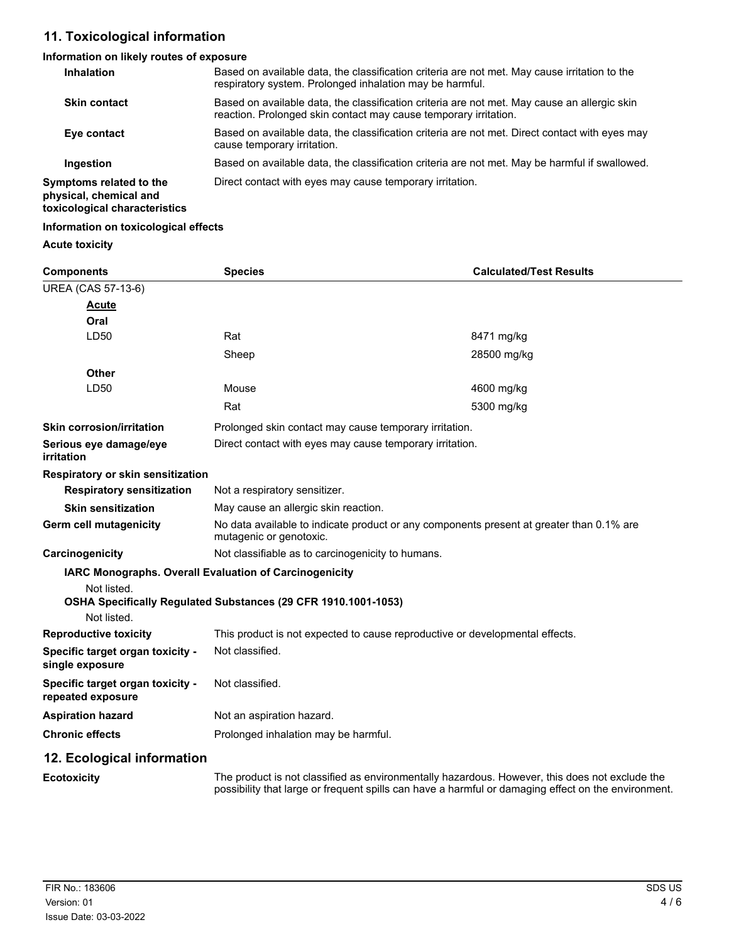## **11. Toxicological information**

## **Information on likely routes of exposure**

| <b>Inhalation</b>                                                                  | Based on available data, the classification criteria are not met. May cause irritation to the<br>respiratory system. Prolonged inhalation may be harmful.        |
|------------------------------------------------------------------------------------|------------------------------------------------------------------------------------------------------------------------------------------------------------------|
| <b>Skin contact</b>                                                                | Based on available data, the classification criteria are not met. May cause an allergic skin<br>reaction. Prolonged skin contact may cause temporary irritation. |
| Eye contact                                                                        | Based on available data, the classification criteria are not met. Direct contact with eyes may<br>cause temporary irritation.                                    |
| Ingestion                                                                          | Based on available data, the classification criteria are not met. May be harmful if swallowed.                                                                   |
| Symptoms related to the<br>physical, chemical and<br>toxicological characteristics | Direct contact with eyes may cause temporary irritation.                                                                                                         |

## **Information on toxicological effects**

## **Acute toxicity**

| <b>Components</b>                                     | <b>Species</b>                                                                                                                                                                                        | <b>Calculated/Test Results</b> |  |
|-------------------------------------------------------|-------------------------------------------------------------------------------------------------------------------------------------------------------------------------------------------------------|--------------------------------|--|
| <b>UREA (CAS 57-13-6)</b>                             |                                                                                                                                                                                                       |                                |  |
| <u>Acute</u>                                          |                                                                                                                                                                                                       |                                |  |
| Oral                                                  |                                                                                                                                                                                                       |                                |  |
| LD50                                                  | Rat                                                                                                                                                                                                   | 8471 mg/kg                     |  |
|                                                       | Sheep                                                                                                                                                                                                 | 28500 mg/kg                    |  |
| Other                                                 |                                                                                                                                                                                                       |                                |  |
| LD50                                                  | Mouse                                                                                                                                                                                                 | 4600 mg/kg                     |  |
|                                                       | Rat                                                                                                                                                                                                   | 5300 mg/kg                     |  |
| <b>Skin corrosion/irritation</b>                      | Prolonged skin contact may cause temporary irritation.                                                                                                                                                |                                |  |
| Serious eye damage/eye<br>irritation                  | Direct contact with eyes may cause temporary irritation.                                                                                                                                              |                                |  |
| Respiratory or skin sensitization                     |                                                                                                                                                                                                       |                                |  |
| <b>Respiratory sensitization</b>                      | Not a respiratory sensitizer.                                                                                                                                                                         |                                |  |
| <b>Skin sensitization</b>                             | May cause an allergic skin reaction.                                                                                                                                                                  |                                |  |
| Germ cell mutagenicity                                | No data available to indicate product or any components present at greater than 0.1% are<br>mutagenic or genotoxic.                                                                                   |                                |  |
| Carcinogenicity                                       | Not classifiable as to carcinogenicity to humans.                                                                                                                                                     |                                |  |
| Not listed.<br>Not listed.                            | <b>IARC Monographs. Overall Evaluation of Carcinogenicity</b><br>OSHA Specifically Regulated Substances (29 CFR 1910.1001-1053)                                                                       |                                |  |
| <b>Reproductive toxicity</b>                          | This product is not expected to cause reproductive or developmental effects.                                                                                                                          |                                |  |
| Specific target organ toxicity -<br>single exposure   | Not classified.                                                                                                                                                                                       |                                |  |
| Specific target organ toxicity -<br>repeated exposure | Not classified.                                                                                                                                                                                       |                                |  |
| <b>Aspiration hazard</b>                              | Not an aspiration hazard.                                                                                                                                                                             |                                |  |
| <b>Chronic effects</b>                                | Prolonged inhalation may be harmful.                                                                                                                                                                  |                                |  |
| 12. Ecological information                            |                                                                                                                                                                                                       |                                |  |
| <b>Ecotoxicity</b>                                    | The product is not classified as environmentally hazardous. However, this does not exclude the<br>possibility that large or frequent spills can have a harmful or damaging effect on the environment. |                                |  |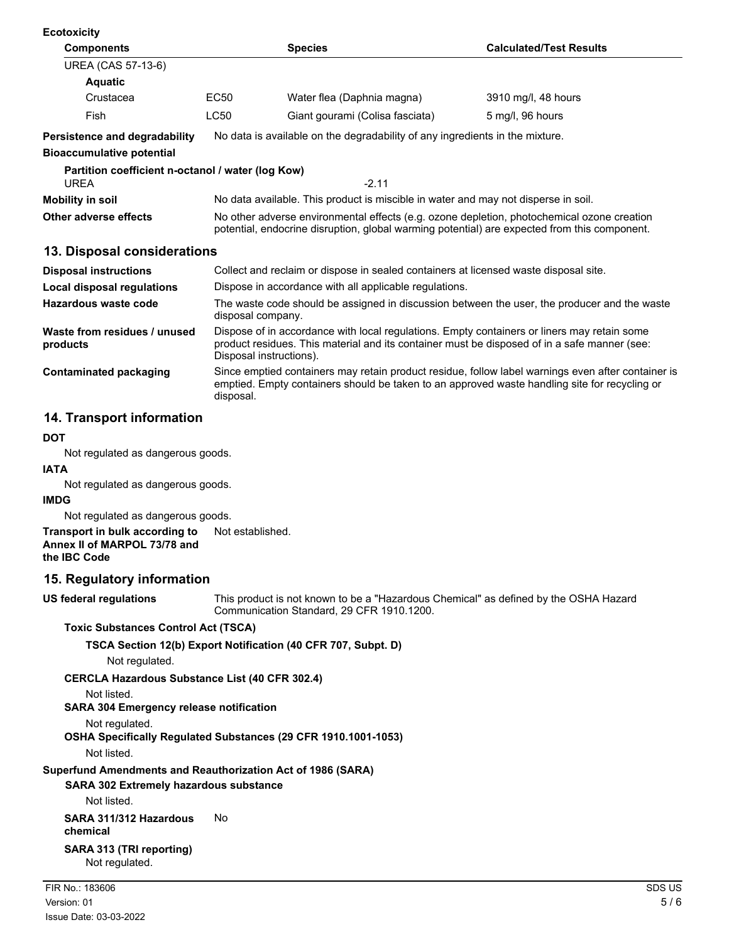| <b>Ecotoxicity</b>                                |                                                                                                                                                                                            |                                                                                    |                                |  |
|---------------------------------------------------|--------------------------------------------------------------------------------------------------------------------------------------------------------------------------------------------|------------------------------------------------------------------------------------|--------------------------------|--|
| <b>Components</b>                                 |                                                                                                                                                                                            | <b>Species</b>                                                                     | <b>Calculated/Test Results</b> |  |
| UREA (CAS 57-13-6)                                |                                                                                                                                                                                            |                                                                                    |                                |  |
| <b>Aquatic</b>                                    |                                                                                                                                                                                            |                                                                                    |                                |  |
| Crustacea                                         | EC <sub>50</sub>                                                                                                                                                                           | Water flea (Daphnia magna)                                                         | 3910 mg/l, 48 hours            |  |
| Fish                                              | LC50                                                                                                                                                                                       | Giant gourami (Colisa fasciata)                                                    | 5 mg/l, 96 hours               |  |
| <b>Persistence and degradability</b>              | No data is available on the degradability of any ingredients in the mixture.                                                                                                               |                                                                                    |                                |  |
| <b>Bioaccumulative potential</b>                  |                                                                                                                                                                                            |                                                                                    |                                |  |
| Partition coefficient n-octanol / water (log Kow) |                                                                                                                                                                                            |                                                                                    |                                |  |
| <b>UREA</b>                                       |                                                                                                                                                                                            | $-2.11$                                                                            |                                |  |
| <b>Mobility in soil</b>                           |                                                                                                                                                                                            | No data available. This product is miscible in water and may not disperse in soil. |                                |  |
| Other adverse effects                             | No other adverse environmental effects (e.g. ozone depletion, photochemical ozone creation<br>potential, endocrine disruption, global warming potential) are expected from this component. |                                                                                    |                                |  |

#### **13. Disposal considerations**

| <b>Disposal instructions</b>             | Collect and reclaim or dispose in sealed containers at licensed waste disposal site.                                                                                                                                   |
|------------------------------------------|------------------------------------------------------------------------------------------------------------------------------------------------------------------------------------------------------------------------|
| Local disposal regulations               | Dispose in accordance with all applicable regulations.                                                                                                                                                                 |
| Hazardous waste code                     | The waste code should be assigned in discussion between the user, the producer and the waste<br>disposal company.                                                                                                      |
| Waste from residues / unused<br>products | Dispose of in accordance with local regulations. Empty containers or liners may retain some<br>product residues. This material and its container must be disposed of in a safe manner (see:<br>Disposal instructions). |
| Contaminated packaging                   | Since emptied containers may retain product residue, follow label warnings even after container is<br>emptied. Empty containers should be taken to an approved waste handling site for recycling or<br>disposal.       |

## **14. Transport information**

#### **DOT**

Not regulated as dangerous goods.

# **IATA**

Not regulated as dangerous goods.

#### **IMDG**

Not regulated as dangerous goods.

#### **Transport in bulk according to** Not established. **Annex II of MARPOL 73/78 and the IBC Code**

### **15. Regulatory information**

**US federal regulations**

This product is not known to be a "Hazardous Chemical" as defined by the OSHA Hazard Communication Standard, 29 CFR 1910.1200.

#### **Toxic Substances Control Act (TSCA)**

**TSCA Section 12(b) Export Notification (40 CFR 707, Subpt. D)**

#### Not regulated.

**CERCLA Hazardous Substance List (40 CFR 302.4)**

Not listed.

## **SARA 304 Emergency release notification**

## Not regulated.

**OSHA Specifically Regulated Substances (29 CFR 1910.1001-1053)**

Not listed.

## **Superfund Amendments and Reauthorization Act of 1986 (SARA)**

**SARA 302 Extremely hazardous substance**

Not listed.

#### **SARA 311/312 Hazardous** No **chemical**

**SARA 313 (TRI reporting)** Not regulated.